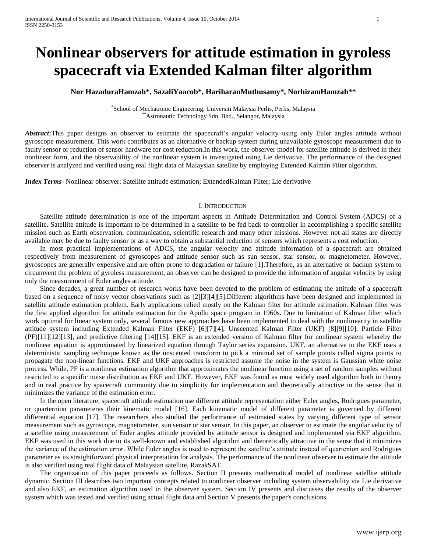# **Nonlinear observers for attitude estimation in gyroless spacecraft via Extended Kalman filter algorithm**

# **Nor HazaduraHamzah\*, SazaliYaacob\*, HariharanMuthusamy\*, NorhizamHamzah\*\***

\* School of Mechatronic Engineering, Universiti Malaysia Perlis, Perlis, Malaysia \*\*Astronautic Technology Sdn. Bhd., Selangor, Malaysia

Abstract: This paper designs an observer to estimate the spacecraft's angular velocity using only Euler angles attitude without gyroscope measurement. This work contributes as an alternative or backup system during unavailable gyroscope measurement due to faulty sensor or reduction of sensor hardware for cost reduction.In this work, the observer model for satellite attitude is derived in their nonlinear form, and the observability of the nonlinear system is investigated using Lie derivative. The performance of the designed observer is analyzed and verified using real flight data of Malaysian satellite by employing Extended Kalman Filter algorithm.

*Index Terms*- Nonlinear observer; Satellite attitude estimation; ExtendedKalman Filter; Lie derivative

# I. INTRODUCTION

Satellite attitude determination is one of the important aspects in Attitude Determination and Control System (ADCS) of a satellite. Satellite attitude is important to be determined in a satellite to be fed back to controller in accomplishing a specific satellite mission such as Earth observation, communication, scientific research and many other missions. However not all states are directly available may be due to faulty sensor or as a way to obtain a substantial reduction of sensors which represents a cost reduction.

In most practical implementations of ADCS, the angular velocity and attitude information of a spacecraft are obtained respectively from measurement of gyroscopes and attitude sensor such as sun sensor, star sensor, or magnetometer. However, gyroscopes are generally expensive and are often prone to degradation or failure [1].Therefore, as an alternative or backup system to circumvent the problem of gyroless measurement, an observer can be designed to provide the information of angular velocity by using only the measurement of Euler angles attitude.

Since decades, a great number of research works have been devoted to the problem of estimating the attitude of a spacecraft based on a sequence of noisy vector observations such as [2][3][4][5].Different algorithms have been designed and implemented in satellite attitude estimation problem. Early applications relied mostly on the Kalman filter for attitude estimation. Kalman filter was the first applied algorithm for attitude estimation for the Apollo space program in 1960s. Due to limitation of Kalman filter which work optimal for linear system only, several famous new approaches have been implemented to deal with the nonlinearity in satellite attitude system including Extended Kalman Filter (EKF) [6][7][4], Unscented Kalman Filter (UKF) [8][9][10], Particle Filter (PF)[11][12][13], and predictive filtering [14][15]. EKF is an extended version of Kalman filter for nonlinear system whereby the nonlinear equation is approximated by linearized equation through Taylor series expansion. UKF, an alternative to the EKF uses a deterministic sampling technique known as the unscented transform to pick a minimal set of sample points called sigma points to propagate the non-linear functions. EKF and UKF approaches is restricted assume the noise in the system is Gaussian white noise process. While, PF is a nonlinear estimation algorithm that approximates the nonlinear function using a set of random samples without restricted to a specific noise distribution as EKF and UKF. However, EKF was found as most widely used algorithm both in theory and in real practice by spacecraft community due to simplicity for implementation and theoretically attractive in the sense that it minimizes the variance of the estimation error.

In the open literature, spacecraft attitude estimation use different attitude representation either Euler angles, Rodrigues parameter, or quarternion parameteras their kinematic model [16]. Each kinematic model of different parameter is governed by different differential equation [17]. The researchers also studied the performance of estimated states by varying different type of sensor measurement such as gyroscope, magnetometer, sun sensor or star sensor. In this paper, an observer to estimate the angular velocity of a satellite using measurement of Euler angles attitude provided by attitude sensor is designed and implemented via EKF algorithm. EKF was used in this work due to its well-known and established algorithm and theoretically attractive in the sense that it minimizes the variance of the estimation error. While Euler angles is used to represent the satellite's attitude instead of quartenion and Rodrigues parameter as its straightforward physical interpretation for analysis. The performance of the nonlinear observer to estimate the attitude is also verified using real flight data of Malaysian satellite, RazakSAT.

The organization of this paper proceeds as follows. Section II presents mathematical model of nonlinear satellite attitude dynamic. Section III describes two important concepts related to nonlinear observer including system observability via Lie derivative and also EKF, an estimation algorithm used in the observer system. Section IV presents and discusses the results of the observer system which was tested and verified using actual flight data and Section V presents the paper's conclusions.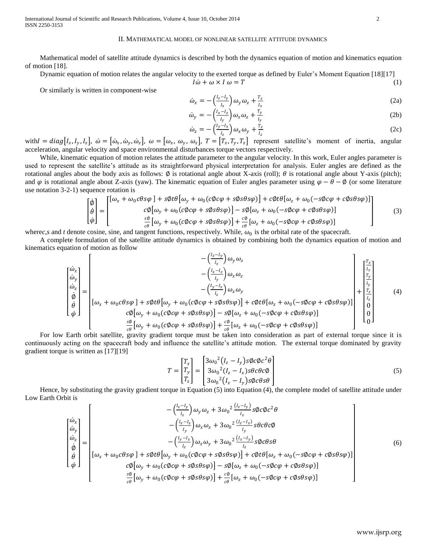International Journal of Scientific and Research Publications, Volume 4, Issue 10, October 2014 2 ISSN 2250-3153

#### II. MATHEMATICAL MODEL OF NONLINEAR SATELLITE ATTITUDE DYNAMICS

Mathematical model of satellite attitude dynamics is described by both the dynamics equation of motion and kinematics equation of motion [18].

Dynamic equation of motion relates the angular velocity to the exerted torque as defined by Euler's Moment Equation [18][17]

$$
I\dot{\omega} + \omega \times I\omega = T \tag{1}
$$

Or similarly is written in component-wise

$$
\dot{\omega}_x = -\left(\frac{l_z - l_y}{l_x}\right) \omega_y \omega_z + \frac{r_x}{l_x} \tag{2a}
$$

$$
\dot{\omega}_y = -\left(\frac{l_x - l_z}{l_y}\right)\omega_x \omega_z + \frac{T_y}{l_y} \tag{2b}
$$

$$
\dot{\omega}_z = -\left(\frac{l_y - l_x}{l_z}\right)\omega_x \omega_y + \frac{r_z}{l_z} \tag{2c}
$$

with  $I = diag[I_x, I_y, I_z]$ ,  $\dot{\omega} = [\dot{\omega}_x, \dot{\omega}_y, \dot{\omega}_z]$ ,  $\omega = [\omega_x, \omega_y, \omega_z]$ ,  $T = [T_x, T_y, T_z]$  represent satellite's moment of inertia, angular acceleration, angular velocity and space environmental disturbances torque vectors respectively.

While, kinematic equation of motion relates the attitude parameter to the angular velocity. In this work, Euler angles parameter is used to represent the satellite's attitude as its straightforward physical interpretation for analysis. Euler angles are defined as the rotational angles about the body axis as follows:  $\emptyset$  is rotational angle about X-axis (roll);  $\theta$  is rotational angle about Y-axis (pitch); and  $\varphi$  is rotational angle about Z-axis (yaw). The kinematic equation of Euler angles parameter using  $\varphi - \theta - \varphi$  (or some literature use notation 3-2-1) sequence rotation is

$$
\begin{bmatrix} \dot{\phi} \\ \dot{\theta} \\ \dot{\phi} \end{bmatrix} = \begin{bmatrix} [\omega_x + \omega_0 c\theta s\varphi] + s\varphi t\theta [\omega_y + \omega_0 (c\varphi c\varphi + s\varphi s\theta s\varphi)] + c\varphi t\theta [\omega_z + \omega_0 (-s\varphi c\varphi + c\varphi s\theta s\varphi)] \\ c\varphi [\omega_y + \omega_0 (c\varphi c\varphi + s\varphi s\theta s\varphi)] - s\varphi [\omega_z + \omega_0 (-s\varphi c\varphi + c\varphi s\theta s\varphi)] \\ \frac{s\varphi}{c\theta} [\omega_y + \omega_0 (c\varphi c\varphi + s\varphi s\theta s\varphi)] + \frac{c\varphi}{c\theta} [\omega_z + \omega_0 (-s\varphi c\varphi + c\varphi s\theta s\varphi)] \end{bmatrix}
$$
(3)

where*c*, *s* and *t* denote cosine, sine, and tangent functions, respectively. While,  $\omega_0$  is the orbital rate of the spacecraft.

A complete formulation of the satellite attitude dynamics is obtained by combining both the dynamics equation of motion and kinematics equation of motion as follow

$$
\begin{bmatrix}\n\dot{\omega}_{x} \\
\dot{\omega}_{y} \\
\dot{\phi} \\
\dot{\phi}\n\end{bmatrix} = \begin{bmatrix}\n-\left(\frac{l_{z}-l_{y}}{l_{x}}\right)\omega_{y}\omega_{z} \\
-\left(\frac{l_{x}-l_{z}}{l_{y}}\right)\omega_{x}\omega_{z} \\
-\left(\frac{l_{y}-l_{x}}{l_{z}}\right)\omega_{x}\omega_{y} \\
-\left(\frac{l_{y}-l_{x}}{l_{z}}\right)\omega_{x}\omega_{y} \\
\dot{\phi} \\
\dot{\phi}\n\end{bmatrix} + \begin{bmatrix}\n\frac{T_{x}}{l_{y}} \\
\frac{T_{y}}{l_{y}} \\
\frac{T_{z}}{l_{z}} \\
\frac{T_{z}}{l_{z}}\n\end{bmatrix}
$$
\n(4)

For low Earth orbit satellite, gravity gradient torque must be taken into consideration as part of external torque since it is continuously acting on the spacecraft body and influence the satellite's attitude motion. The external torque dominated by gravity gradient torque is written as [17][19]

$$
T = \begin{bmatrix} T_x \\ T_y \\ T_z \end{bmatrix} = \begin{bmatrix} 3\omega_0^2 (I_z - I_y) s \phi c \phi c^2 \theta \\ 3\omega_0^2 (I_z - I_x) s \theta c \theta c \phi \\ 3\omega_0^2 (I_x - I_y) s \phi c \theta s \theta \end{bmatrix}
$$
(5)

Hence, by substituting the gravity gradient torque in Equation (5) into Equation (4), the complete model of satellite attitude under Low Earth Orbit is

$$
\begin{bmatrix}\n\dot{\omega}_{x} \\
\dot{\omega}_{y} \\
\dot{\phi} \\
\dot{\phi} \\
\dot{\phi}\n\end{bmatrix} = \begin{bmatrix}\n-\left(\frac{l_{z}-l_{y}}{l_{x}}\right)\omega_{y}\omega_{z} + 3\omega_{0}^{2}\frac{(l_{z}-l_{y})}{l_{x}}s\phi c\phi c^{2}\theta \\
-\left(\frac{l_{x}-l_{z}}{l_{y}}\right)\omega_{x}\omega_{z} + 3\omega_{0}^{2}\frac{(l_{z}-l_{x})}{l_{y}}s\theta c\theta c\phi \\
-\left(\frac{l_{y}-l_{x}}{l_{z}}\right)\omega_{x}\omega_{y} + 3\omega_{0}^{2}\frac{(l_{x}-l_{y})}{l_{z}}s\phi c\theta s\theta \\
\dot{\phi} \\
\dot{\phi}\n\end{bmatrix} = \begin{bmatrix}\n\omega_{x} \\
\omega_{x} + \omega_{0}c\theta s\varphi \\
\omega_{x} + \omega_{0}c\theta s\varphi \\
\omega_{y} + s\phi t\theta\left[\omega_{y} + \omega_{0}(c\phi c\varphi + s\phi s\theta s\varphi)\right] + c\phi t\theta\left[\omega_{z} + \omega_{0}(-s\phi c\varphi + c\phi s\theta s\varphi)\right] \\
-\frac{s\varphi}{c\theta}\left[\omega_{y} + \omega_{0}(c\phi c\varphi + s\phi s\theta s\varphi)\right] - s\phi\left[\omega_{z} + \omega_{0}(-s\phi c\varphi + c\phi s\theta s\varphi)\right]\n\end{bmatrix} \tag{6}
$$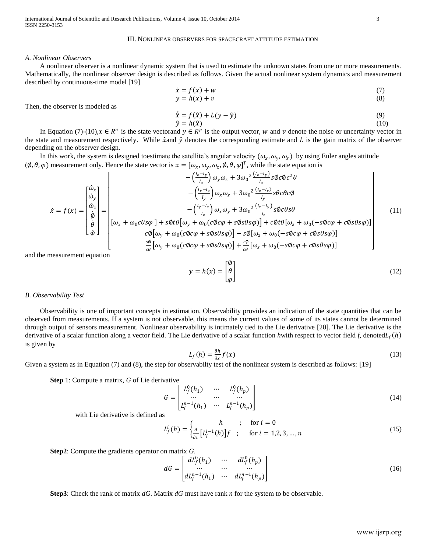# III. NONLINEAR OBSERVERS FOR SPACECRAFT ATTITUDE ESTIMATION

#### *A. Nonlinear Observers*

A nonlinear observer is a nonlinear dynamic system that is used to estimate the unknown states from one or more measurements. Mathematically, the nonlinear observer design is described as follows. Given the actual nonlinear system dynamics and measurement described by continuous-time model [19]

$$
\dot{x} = f(x) + w \tag{7}
$$
\n
$$
y = h(x) + w \tag{8}
$$

$$
y = h(x) + v \tag{8}
$$

Then, the observer is modeled as

$$
\begin{aligned}\n\dot{\hat{x}} &= f(\hat{x}) + L(y - \hat{y}) \\
\hat{y} &= h(\hat{x})\n\end{aligned} (9)
$$
\n(9)

In Equation (7)-(10), $x \in R^n$  is the state vectorand  $y \in R^p$  is the output vector, w and v denote the noise or uncertainty vector in the state and measurement respectively. While  $\hat{x}$  and  $\hat{y}$  denotes the corresponding estimate and  $L$  is the gain matrix of the observer depending on the observer design.

In this work, the system is designed toestimate the satellite's angular velocity  $(\omega_x, \omega_y, \omega_z)$  by using Euler angles attitude  $(\emptyset, \theta, \varphi)$  measurement only. Hence the state vector is  $x = [\omega_x, \omega_y, \omega_z, \emptyset, \theta, \varphi]^T$ , while the state equation is

$$
\dot{x} = f(x) = \begin{bmatrix} \dot{\omega}_x \\ \dot{\omega}_y \\ \dot{\phi} \\ \dot{\phi} \end{bmatrix} = \begin{bmatrix} \dot{\omega}_x \\ \dot{\omega}_y \\ \dot{\omega}_z \\ \dot{\phi} \\ \dot{\phi} \end{bmatrix} = \begin{bmatrix} \dot{\omega}_x \\ \dot{\omega}_y \\ \dot{\omega}_z \\ \dot{\omega}_x + \omega_0 c\theta s\varphi + s\varphi t\theta [\omega_y + \omega_0 (c\varphi c\varphi + s\varphi s\theta s\varphi)] + c\varphi t\theta [\omega_z + \omega_0 (-s\varphi c\varphi + c\varphi s\theta s\varphi)] \\ \omega_x + \omega_0 (c\varphi c\varphi + s\varphi s\varphi s\varphi) - s\varphi [\omega_z + \omega_0 (-s\varphi c\varphi + c\varphi s\theta s\varphi)] \end{bmatrix} \tag{11}
$$

and the measurement equation

$$
y = h(x) = \begin{bmatrix} \emptyset \\ \theta \\ \varphi \end{bmatrix}
$$
 (12)

# *B. Observability Test*

Observability is one of important concepts in estimation. Observability provides an indication of the state quantities that can be observed from measurements. If a system is not observable, this means the current values of some of its states cannot be determined through output of sensors measurement. Nonlinear observability is intimately tied to the Lie derivative [20]. The Lie derivative is the derivative of a scalar function along a vector field. The Lie derivative of a scalar function *h*with respect to vector field *f*, denoted is given by

$$
L_f(h) = \frac{\partial h}{\partial x} f(x) \tag{13}
$$

Given a system as in Equation (7) and (8), the step for observabilty test of the nonlinear system is described as follows: [19]

**Step** 1: Compute a matrix, *G* of Lie derivative

$$
G = \begin{bmatrix} L_f^0(h_1) & \cdots & L_f^0(h_p) \\ \cdots & \cdots & \cdots \\ L_f^{n-1}(h_1) & \cdots & L_f^{n-1}(h_p) \end{bmatrix}
$$
(14)

with Lie derivative is defined as

$$
L_f^i(h) = \begin{cases} h & ; & \text{for } i = 0\\ \frac{\partial}{\partial x} [L_f^{i-1}(h)] f & ; & \text{for } i = 1, 2, 3, ..., n \end{cases}
$$
(15)

**Step2**: Compute the gradients operator on matrix *G*.

$$
dG = \begin{bmatrix} dL_f^0(h_1) & \cdots & dL_f^0(h_p) \\ \cdots & \cdots & \cdots \\ dL_f^{n-1}(h_1) & \cdots & dL_f^{n-1}(h_p) \end{bmatrix}
$$
(16)

**Step3**: Check the rank of matrix *dG*. Matrix *dG* must have rank *n* for the system to be observable.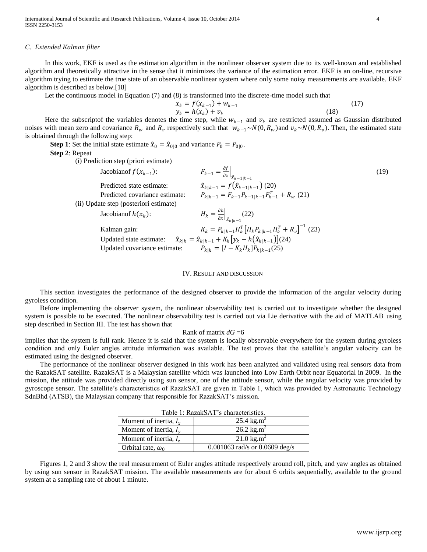International Journal of Scientific and Research Publications, Volume 4, Issue 10, October 2014 4 ISSN 2250-3153

#### *C. Extended Kalman filter*

In this work, EKF is used as the estimation algorithm in the nonlinear observer system due to its well-known and established algorithm and theoretically attractive in the sense that it minimizes the variance of the estimation error. EKF is an on-line, recursive algorithm trying to estimate the true state of an observable nonlinear system where only some noisy measurements are available. EKF algorithm is described as below.[18]

Let the continuous model in Equation (7) and (8) is transformed into the discrete-time model such that

$$
x_k = f(x_{k-1}) + w_{k-1}
$$
  
\n
$$
y_k = h(x_k) + v_k
$$
\n(17)

Here the subscriptof the variables denotes the time step, while  $w_{k-1}$  and  $v_k$  are restricted assumed as Gaussian distributed noises with mean zero and covariance  $R_w$  and  $R_v$  respectively such that  $w_{k-1} \sim N(0, R_w)$  and  $v_k \sim N(0, R_v)$ . Then, the estimated state is obtained through the following step:

**Step 1**: Set the initial state estimate  $\hat{x}_0 = \hat{x}_{0|0}$  and variance  $P_0 = P_{0|0}$ .

**Step 2**: Repeat

(i) Prediction step (priori estimate)

| Jacobianof $f(x_{k-1})$ :              | $F_{k-1} = \frac{\partial f}{\partial x}\Big _{\hat{x}_{k-1 k-1}}$         | (19) |
|----------------------------------------|----------------------------------------------------------------------------|------|
| Predicted state estimate:              | $\hat{x}_{k k-1} = f(\hat{x}_{k-1 k-1})$ (20)                              |      |
| Predicted covariance estimate:         | $P_{k k-1} = F_{k-1}P_{k-1 k-1}F_{k-1}^T + R_w$ (21)                       |      |
| (ii) Update step (posteriori estimate) |                                                                            |      |
| Jacobian of $h(x_k)$ :                 | $H_k = \frac{\partial h}{\partial x}\Big _{\hat{x}_{k k-1}}(22)$           |      |
| Kalman gain:                           | $K_k = P_{k k-1} H_k^T \left[ H_k P_{k k-1} H_k^T + R_v \right]^{-1}$ (23) |      |
| Updated state estimate:                | $\hat{x}_{k k} = \hat{x}_{k k-1} + K_k [y_k - h(\hat{x}_{k k-1})]$ (24)    |      |
| Updated covariance estimate:           | $P_{k k} = [I - K_k H_k] P_{k k-1}(25)$                                    |      |
|                                        |                                                                            |      |

#### IV. RESULT AND DISCUSSION

This section investigates the performance of the designed observer to provide the information of the angular velocity during gyroless condition.

Before implementing the observer system, the nonlinear observability test is carried out to investigate whether the designed system is possible to be executed. The nonlinear observability test is carried out via Lie derivative with the aid of MATLAB using step described in Section III. The test has shown that

# Rank of matrix *dG* =6

implies that the system is full rank. Hence it is said that the system is locally observable everywhere for the system during gyroless condition and only Euler angles attitude information was available. The test proves that the satellite's angular velocity can be estimated using the designed observer.

The performance of the nonlinear observer designed in this work has been analyzed and validated using real sensors data from the RazakSAT satellite. RazakSAT is a Malaysian satellite which was launched into Low Earth Orbit near Equatorial in 2009. In the mission, the attitude was provided directly using sun sensor, one of the attitude sensor, while the angular velocity was provided by gyroscope sensor. The satellite's characteristics of RazakSAT are given in Table 1, which was provided by Astronautic Technology SdnBhd (ATSB), the Malaysian company that responsible for RazakSAT's mission.

| Table 1. RazarSAT S characteristics. |                                   |  |  |
|--------------------------------------|-----------------------------------|--|--|
| Moment of inertia, $I_x$             | 25.4 kg.m <sup>2</sup>            |  |  |
| Moment of inertia, $I_v$             | 26.2 kg.m <sup>2</sup>            |  |  |
| Moment of inertia, $Iz$              | 21.0 $\text{kg} \cdot \text{m}^2$ |  |  |
| Orbital rate, $\omega_0$             | 0.001063 rad/s or 0.0609 deg/s    |  |  |

Figures 1, 2 and 3 show the real measurement of Euler angles attitude respectively around roll, pitch, and yaw angles as obtained by using sun sensor in RazakSAT mission. The available measurements are for about 6 orbits sequentially, available to the ground system at a sampling rate of about 1 minute.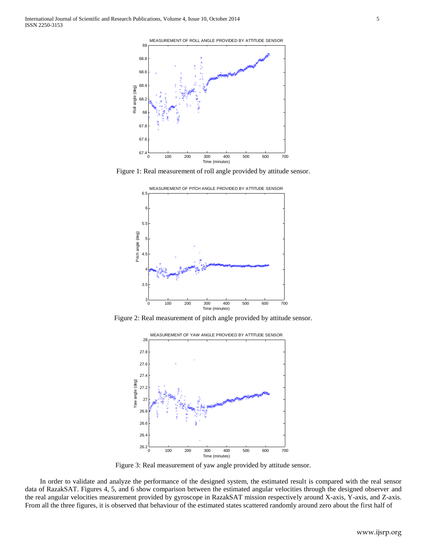

Figure 1: Real measurement of roll angle provided by attitude sensor.



Figure 2: Real measurement of pitch angle provided by attitude sensor.



Figure 3: Real measurement of yaw angle provided by attitude sensor.

In order to validate and analyze the performance of the designed system, the estimated result is compared with the real sensor data of RazakSAT. Figures 4, 5, and 6 show comparison between the estimated angular velocities through the designed observer and the real angular velocities measurement provided by gyroscope in RazakSAT mission respectively around X-axis, Y-axis, and Z-axis. From all the three figures, it is observed that behaviour of the estimated states scattered randomly around zero about the first half of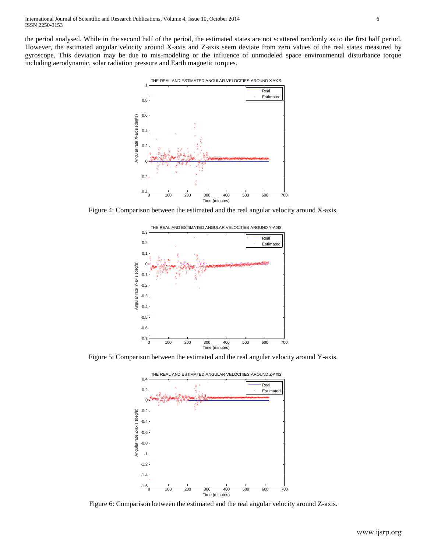the period analysed. While in the second half of the period, the estimated states are not scattered randomly as to the first half period. However, the estimated angular velocity around X-axis and Z-axis seem deviate from zero values of the real states measured by gyroscope. This deviation may be due to mis-modeling or the influence of unmodeled space environmental disturbance torque including aerodynamic, solar radiation pressure and Earth magnetic torques.



Figure 4: Comparison between the estimated and the real angular velocity around X-axis.



Figure 5: Comparison between the estimated and the real angular velocity around Y-axis.



Figure 6: Comparison between the estimated and the real angular velocity around Z-axis.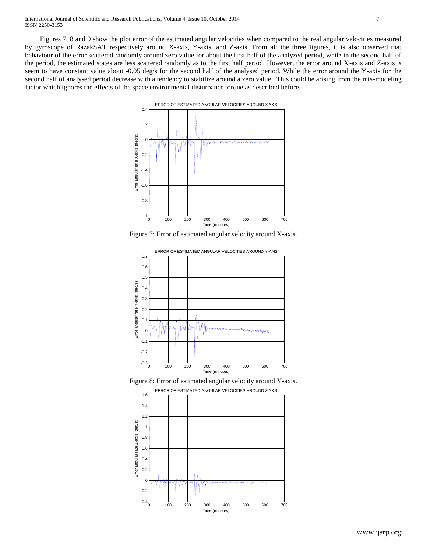Figures 7, 8 and 9 show the plot error of the estimated angular velocities when compared to the real angular velocities measured by gyroscope of RazakSAT respectively around X-axis, Y-axis, and Z-axis. From all the three figures, it is also observed that behaviour of the error scattered randomly around zero value for about the first half of the analyzed period, while in the second half of the period, the estimated states are less scattered randomly as to the first half period. However, the error around X-axis and Z-axis is seem to have constant value about -0.05 deg/s for the second half of the analysed period. While the error around the Y-axis for the second half of analysed period decrease with a tendency to stabilize around a zero value. This could be arising from the mis-modeling factor which ignores the effects of the space environmental disturbance torque as described before.



Figure 7: Error of estimated angular velocity around X-axis.





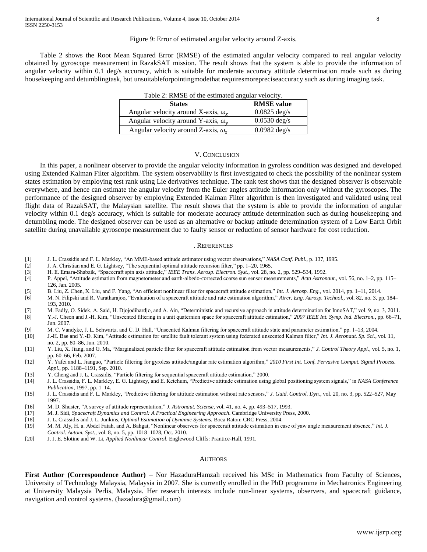# Figure 9: Error of estimated angular velocity around Z-axis.

Table 2 shows the Root Mean Squared Error (RMSE) of the estimated angular velocity compared to real angular velocity obtained by gyroscope measurement in RazakSAT mission. The result shows that the system is able to provide the information of angular velocity within 0.1 deg/s accuracy, which is suitable for moderate accuracy attitude determination mode such as during housekeeping and detumblingtask, but unsuitableforpointingmodethat requiresmorepreciseaccuracy such as during imaging task.

| <b>States</b>                                | <b>RMSE</b> value      |  |  |
|----------------------------------------------|------------------------|--|--|
| Angular velocity around X-axis, $\omega_r$   | $0.0825 \text{ deg/s}$ |  |  |
| Angular velocity around Y-axis, $\omega_{v}$ | $0.0530 \text{ deg/s}$ |  |  |
| Angular velocity around Z-axis, $\omega_z$   | $0.0982 \text{ deg/s}$ |  |  |

Table 2: RMSE of the estimated angular velocity.

# V. CONCLUSION

In this paper, a nonlinear observer to provide the angular velocity information in gyroless condition was designed and developed using Extended Kalman Filter algorithm. The system observability is first investigated to check the possibility of the nonlinear system states estimation by employing test rank using Lie derivatives technique. The rank test shows that the designed observer is observable everywhere, and hence can estimate the angular velocity from the Euler angles attitude information only without the gyroscopes. The performance of the designed observer by employing Extended Kalman Filter algorithm is then investigated and validated using real flight data of RazakSAT, the Malaysian satellite. The result shows that the system is able to provide the information of angular velocity within 0.1 deg/s accuracy, which is suitable for moderate accuracy attitude determination such as during housekeeping and detumbling mode. The designed observer can be used as an alternative or backup attitude determination system of a Low Earth Orbit satellite during unavailable gyroscope measurement due to faulty sensor or reduction of sensor hardware for cost reduction.

## . REFERENCES

- [1] J. L. Crassidis and F. L. Markley, "An MME-based attitude estimator using vector observations," *NASA Conf. Publ.*, p. 137, 1995.
- [2] J. A. Christian and E. G. Lightsey, "The sequential optimal attitude recursion filter," pp. 1–20, 1965.
- [3] H. E. Emara-Shabaik, "Spacecraft spin axis attitude," *IEEE Trans. Aerosp. Electron. Syst.*, vol. 28, no. 2, pp. 529–534, 1992.
- [4] P. Appel, "Attitude estimation from magnetometer and earth-albedo-corrected coarse sun sensor measurements," *Acta Astronaut.*, vol. 56, no. 1–2, pp. 115– 126, Jan. 2005.
- 
- [5] B. Liu, Z. Chen, X. Liu, and F. Yang, "An efficient nonlinear filter for spacecraft attitude estimation," *Int. J. Aerosp. Eng.*, vol. 2014, pp. 1–11, 2014. [6] M. N. Filipski and R. Varatharajoo, "Evaluation of a spacecraft attitude and rate estimation algorithm," *Aircr. Eng. Aerosp. Technol.*, vol. 82, no. 3, pp. 184– 193, 2010.
- [7] M. Fadly, O. Sidek, A. Said, H. Djojodihardjo, and A. Ain, "Deterministic and recursive approach in attitude determination for InnoSAT," vol. 9, no. 3, 2011.
- [8] Y.-J. Cheon and J.-H. Kim, "Unscented filtering in a unit quaternion space for spacecraft attitude estimation," *2007 IEEE Int. Symp. Ind. Electron.*, pp. 66–71, Jun. 2007.
- [9] M. C. Vandyke, J. L. Schwartz, and C. D. Hall, "Unscented Kalman filtering for spacecraft attitude state and parameter estimation," pp. 1–13, 2004.
- [10] J.-H. Bae and Y.-D. Kim, "Attitude estimation for satellite fault tolerant system using federated unscented Kalman filter," *Int. J. Aeronaut. Sp. Sci.*, vol. 11, no. 2, pp. 80–86, Jun. 2010.
- [11] Y. Liu, X. Jiang, and G. Ma, "Marginalized particle filter for spacecraft attitude estimation from vector measurements," *J. Control Theory Appl.*, vol. 5, no. 1, pp. 60–66, Feb. 2007.
- [12] Y. Yafei and L. Jianguo, "Particle filtering for gyroless attitude/angular rate estimation algorithm," *2010 First Int. Conf. Pervasive Comput. Signal Process. Appl.*, pp. 1188–1191, Sep. 2010.
- [13] Y. Cheng and J. L. Crassidis, "Particle filtering for sequential spacecraft attitude estimation," 2000.
- [14] J. L. Crassidis, F. L. Markley, E. G. Lightsey, and E. Ketchum, "Predictive attitude estimation using global positioning system signals," in *NASA Conference Publication*, 1997, pp. 1–14.
- [15] J. L. Crassidis and F. L. Markley, "Predictive filtering for attitude estimation without rate sensors," *J. Guid. Control. Dyn.*, vol. 20, no. 3, pp. 522–527, May 1997.
- [16] M. D. Shuster, "A survey of attitude representation," *J. Astronaut. Sciense*, vol. 41, no. 4, pp. 493–517, 1993.
- [17] M. J. Sidi, *Spacecraft Dynamics and Control: A Practical Engineering Approach*. Cambridge University Press, 2000.
- [18] J. L. Crassidis and J. L. Junkins, *Optimal Estimation of Dynamic Systems.* Boca Raton: CRC Press, 2004.
- [19] M. M. Aly, H. a. Abdel Fatah, and A. Bahgat, "Nonlinear observers for spacecraft attitude estimation in case of yaw angle measurement absence," *Int. J. Control. Autom. Syst.*, vol. 8, no. 5, pp. 1018–1028, Oct. 2010.
- [20] J. J. E. Slotine and W. Li, *Applied Nonlinear Control*. Englewood Cliffs: Prantice-Hall, 1991.

# **AUTHORS**

First Author (Correspondence Author) – Nor HazaduraHamzah received his MSc in Mathematics from Faculty of Sciences, University of Technology Malaysia, Malaysia in 2007. She is currently enrolled in the PhD programme in Mechatronics Engineering at University Malaysia Perlis, Malaysia. Her research interests include non-linear systems, observers, and spacecraft guidance, navigation and control systems. (hazadura@gmail.com)